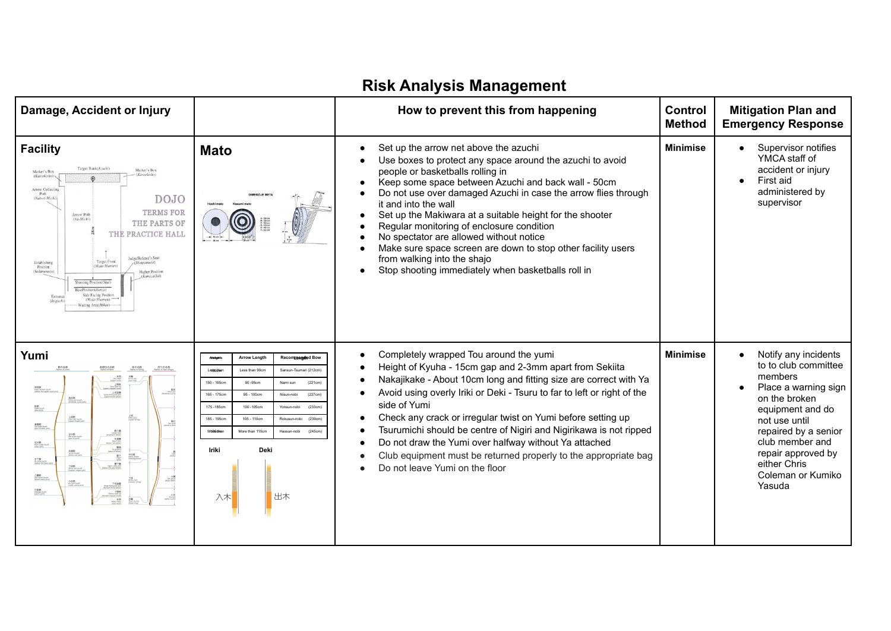| Damage, Accident or Injury                                                                                                                                                                                                                                                                                                                                                                                                                                                                                                                                                                                                                                                                                                                                                                                                                                                                                                                                                                                                                                                                                                                                                                                                                                                                                                                                                                                                                                                                                                                                      |                                                                                                                                                                                                                                                                                                                                                                                                                 | How to prevent this from happening                                                                                                                                                                                                                                                                                                                                                                                                                                                                                                                                                                                         | <b>Control</b><br><b>Method</b> | <b>Mitigation Plan and</b><br><b>Emergency Response</b>                                                                                                                                                                                               |
|-----------------------------------------------------------------------------------------------------------------------------------------------------------------------------------------------------------------------------------------------------------------------------------------------------------------------------------------------------------------------------------------------------------------------------------------------------------------------------------------------------------------------------------------------------------------------------------------------------------------------------------------------------------------------------------------------------------------------------------------------------------------------------------------------------------------------------------------------------------------------------------------------------------------------------------------------------------------------------------------------------------------------------------------------------------------------------------------------------------------------------------------------------------------------------------------------------------------------------------------------------------------------------------------------------------------------------------------------------------------------------------------------------------------------------------------------------------------------------------------------------------------------------------------------------------------|-----------------------------------------------------------------------------------------------------------------------------------------------------------------------------------------------------------------------------------------------------------------------------------------------------------------------------------------------------------------------------------------------------------------|----------------------------------------------------------------------------------------------------------------------------------------------------------------------------------------------------------------------------------------------------------------------------------------------------------------------------------------------------------------------------------------------------------------------------------------------------------------------------------------------------------------------------------------------------------------------------------------------------------------------------|---------------------------------|-------------------------------------------------------------------------------------------------------------------------------------------------------------------------------------------------------------------------------------------------------|
| <b>Facility</b><br>Target Bank(Azuchi)<br>Marker's Roy<br>Marker's Box<br>(Kantekisho)<br>(Kantekishe<br>Arrow Collecting<br>Path<br>DOJO<br>(Yatori-Michi)<br><b>TERMS FOR</b><br>Arrow Path<br>(Ya-Michi)<br>THE PARTS OF<br>THE PRACTICE HALL<br>Judge/Referee's Seat<br><b>Target Front</b><br>Establishing<br>Position<br>(Mata-Shamen)<br>Sadamenoza)<br>Higher Position<br>Kamiza/Joi<br>Shooting Position(Shai)<br>Side Facing Posit<br>(Waki-Shomen)<br><b>Naiting Area</b> (Hikae                                                                                                                                                                                                                                                                                                                                                                                                                                                                                                                                                                                                                                                                                                                                                                                                                                                                                                                                                                                                                                                                     | <b>Mato</b>                                                                                                                                                                                                                                                                                                                                                                                                     | Set up the arrow net above the azuchi<br>Use boxes to protect any space around the azuchi to avoid<br>people or basketballs rolling in<br>Keep some space between Azuchi and back wall - 50cm<br>$\bullet$<br>Do not use over damaged Azuchi in case the arrow flies through<br>it and into the wall<br>Set up the Makiwara at a suitable height for the shooter<br>$\bullet$<br>Regular monitoring of enclosure condition<br>No spectator are allowed without notice<br>Make sure space screen are down to stop other facility users<br>from walking into the shajo<br>Stop shooting immediately when basketballs roll in | <b>Minimise</b>                 | Supervisor notifies<br>YMCA staff of<br>accident or injury<br>First aid<br>administered by<br>supervisor                                                                                                                                              |
| Yumi<br>節の名称<br>各部位の名称<br>東朝<br>1959年 nook<br>1988年 1989<br>1989 1992<br>1993 1993<br>$rac{B}{\beta}$<br>$rac{16}{\beta}$<br>SEEEE<br>Hagy Asheri bushi<br>Delaw the upper cock jong<br>$\underbrace{\begin{array}{c} \text{L:UUM} \\ \text{Kaves: K\"{e}three: dof} \\ \text{Kogor: dofov: dofov:} \end{array}}$<br>姫反動<br>Hotel zari custo<br>割節<br>Kase-bushi<br>firan joint)<br>LISB<br>Una cari custi<br>Lisper shape joi<br>鳥類節<br>Nei-kata-bushi<br>Day shubbar part<br>$\begin{array}{r} \mathbf{B} \cup \mathbf{B} \\ \text{Kamel}\text{-}\text{GeV} \\ \text{Sensumel}\text{-}\text{rel} \\ \text{S-B} \mathbf{B} \\ \text{S} \rightarrow \mathbf{C} \text{-}\text{CO} \text{-}\text{CO} \text{-}\text{CO} \text{-}\text{SO} \text{-}\text{SO} \text{-}\text{SO} \text{-}\text{SO} \text{-}\text{SO} \text{-}\text{SO} \text{-}\text{SO} \text{-}\text{SO} \text{-}\text{SO} \text{-}\text{SO} \text{-}\text{SO} \text{-}\text{SO} \text{-}\text{SO} \text{-}\text{SO} \text{-}\text$<br>ELISE<br>Me-bode-bod<br>Joye on John<br>足付節<br>Anh toute-bushi<br>(step joint)<br>中仕器<br>Note Japan<br>Pooking Joa<br>悲<br>手下節<br>A-shis-buzh<br>Delze Fe hard<br>$\begin{array}{c} \text{STE} \\ \text{Rpc-sht.} \end{array}$<br>TANK<br>Shikomida<br>Z.腰筋<br>Oto-kosti-bush<br>preat wast joint<br>小反節<br>Kinjam busi<br>TVはW<br>Sola Alcharte day<br>Alexan Industrial<br>TWMS<br>Solary Stype Tord<br>Alexandric Magnet<br>Alexandric Magnet<br>Post Alexandric<br>Post Alexandric<br>318580<br>Hasang-buon<br>Kashi joint<br>$\frac{\sqrt{1.56}}{2.00}$ | <b>Arrow Length</b><br>Recommended Bow<br>Lessithan<br>Less than 90cm<br>Sansun-Tsumari (212cm)<br>$150 - 165$ cm<br>90 - 95cm<br>(221cm)<br>Nami sun<br>165 - 175cm<br>95 - 100cm<br>(227cm)<br>Nisun-nobi<br>175 - 185cm<br>100 -105cm<br>Yonsun-nobi<br>(233cm<br>105 - 110cm<br>185 - 195cm<br>Rokusun-nobi<br>(239cm)<br>M686 dha<br>More than 110cm<br>Hassun-nobi<br>(245cm<br>Iriki<br>Deki<br>出木<br>入木 | Completely wrapped Tou around the yumi<br>٠<br>Height of Kyuha - 15cm gap and 2-3mm apart from Sekiita<br>Nakajikake - About 10cm long and fitting size are correct with Ya<br>Avoid using overly Iriki or Deki - Tsuru to far to left or right of the<br>side of Yumi<br>Check any crack or irregular twist on Yumi before setting up<br>Tsurumichi should be centre of Nigiri and Nigirikawa is not ripped<br>Do not draw the Yumi over halfway without Ya attached<br>Club equipment must be returned properly to the appropriate bag<br>Do not leave Yumi on the floor                                                 | <b>Minimise</b>                 | Notify any incidents<br>to to club committee<br>members<br>Place a warning sign<br>on the broken<br>equipment and do<br>not use until<br>repaired by a senior<br>club member and<br>repair approved by<br>either Chris<br>Coleman or Kumiko<br>Yasuda |

## **Risk Analysis Management**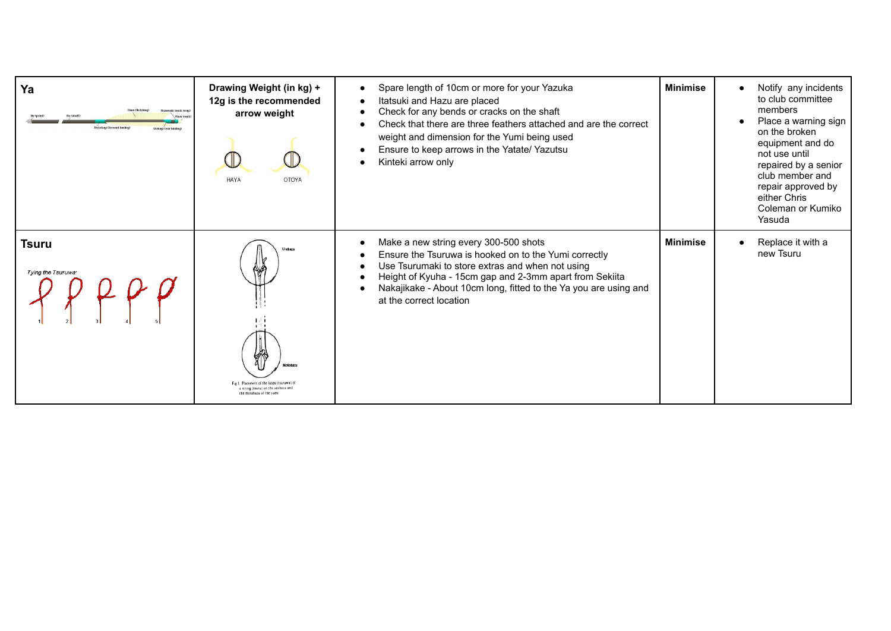| Ya<br>Hazu (nock)<br>Intolasi (Intussul b | Drawing Weight (in kg) +<br>12g is the recommended<br>arrow weight<br><b>HAYA</b><br><b>OTOYA</b>                         | Spare length of 10cm or more for your Yazuka<br>Itatsuki and Hazu are placed<br>Check for any bends or cracks on the shaft<br>Check that there are three feathers attached and are the correct<br>weight and dimension for the Yumi being used<br>Ensure to keep arrows in the Yatate/ Yazutsu<br>Kinteki arrow only | <b>Minimise</b> | Notify any incidents<br>to club committee<br>members<br>Place a warning sign<br>on the broken<br>equipment and do<br>not use until<br>repaired by a senior<br>club member and<br>repair approved by<br>either Chris<br>Coleman or Kumiko<br>Yasuda |
|-------------------------------------------|---------------------------------------------------------------------------------------------------------------------------|----------------------------------------------------------------------------------------------------------------------------------------------------------------------------------------------------------------------------------------------------------------------------------------------------------------------|-----------------|----------------------------------------------------------------------------------------------------------------------------------------------------------------------------------------------------------------------------------------------------|
| Tsuru<br>Tying the Tsuruwa:               | <b>Urahav</b><br>Fig.1 Placement of the loops (tsuruwa)<br>a string (tsuru) on the urahazu and<br>the motohazu of the vum | Make a new string every 300-500 shots<br>Ensure the Tsuruwa is hooked on to the Yumi correctly<br>Use Tsurumaki to store extras and when not using<br>Height of Kyuha - 15cm gap and 2-3mm apart from Sekiita<br>Nakajikake - About 10cm long, fitted to the Ya you are using and<br>at the correct location         | <b>Minimise</b> | Replace it with a<br>new Tsuru                                                                                                                                                                                                                     |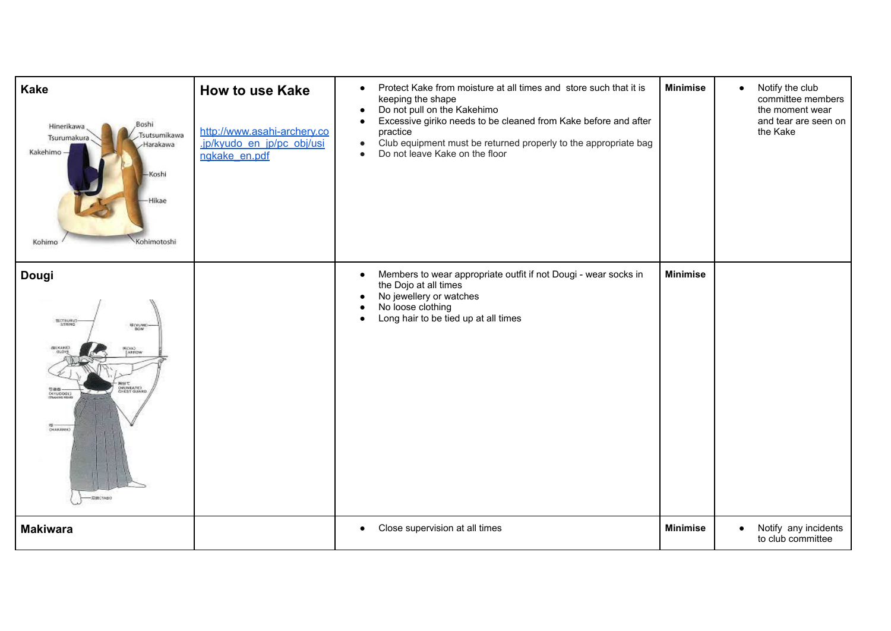| <b>Kake</b><br>Boshi,<br>Hinerikawa<br>Tsutsumikawa<br>Tsurumakura<br>Harakawa<br>Kakehimo -<br>Koshi<br>Hikae<br>Kohimo<br>Kohimotoshi | <b>How to use Kake</b><br>http://www.asahi-archery.co<br>.jp/kyudo en jp/pc obj/usi<br>ngkake en.pdf | Protect Kake from moisture at all times and store such that it is<br>$\bullet$<br>keeping the shape<br>Do not pull on the Kakehimo<br>$\bullet$<br>Excessive giriko needs to be cleaned from Kake before and after<br>practice<br>Club equipment must be returned properly to the appropriate bag<br>$\bullet$<br>Do not leave Kake on the floor<br>$\bullet$ | <b>Minimise</b> | Notify the club<br>$\bullet$<br>committee members<br>the moment wear<br>and tear are seen on<br>the Kake |
|-----------------------------------------------------------------------------------------------------------------------------------------|------------------------------------------------------------------------------------------------------|---------------------------------------------------------------------------------------------------------------------------------------------------------------------------------------------------------------------------------------------------------------------------------------------------------------------------------------------------------------|-----------------|----------------------------------------------------------------------------------------------------------|
| <b>Dougi</b><br>BCTSURU)<br><b>BOW</b><br>GOOSAKE)<br>ECKA)<br> ARFOW<br>(MUNEATE)<br>CHEST GUARD<br>588-<br>CHAKAMAD<br>SOBCTABO       |                                                                                                      | Members to wear appropriate outfit if not Dougi - wear socks in<br>$\bullet$<br>the Dojo at all times<br>No jewellery or watches<br>$\bullet$<br>No loose clothing<br>Long hair to be tied up at all times                                                                                                                                                    | <b>Minimise</b> |                                                                                                          |
| <b>Makiwara</b>                                                                                                                         |                                                                                                      | Close supervision at all times<br>$\bullet$                                                                                                                                                                                                                                                                                                                   | <b>Minimise</b> | Notify any incidents<br>$\bullet$<br>to club committee                                                   |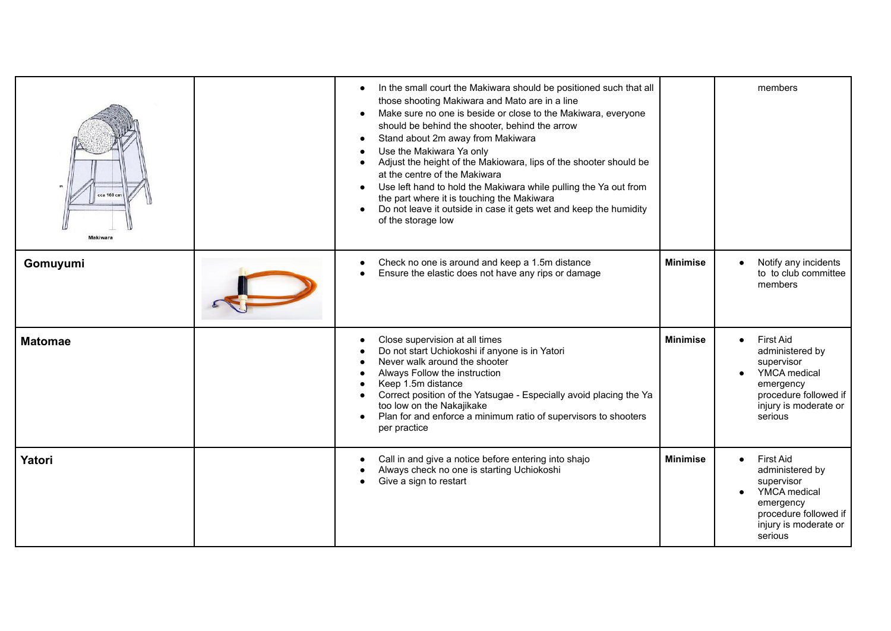| cca 160 cm<br>Makiwara | In the small court the Makiwara should be positioned such that all<br>those shooting Makiwara and Mato are in a line<br>Make sure no one is beside or close to the Makiwara, everyone<br>should be behind the shooter, behind the arrow<br>Stand about 2m away from Makiwara<br>Use the Makiwara Ya only<br>Adjust the height of the Makiowara, lips of the shooter should be<br>at the centre of the Makiwara<br>Use left hand to hold the Makiwara while pulling the Ya out from<br>the part where it is touching the Makiwara<br>Do not leave it outside in case it gets wet and keep the humidity<br>$\bullet$<br>of the storage low |                 | members                                                                                                                                                         |
|------------------------|------------------------------------------------------------------------------------------------------------------------------------------------------------------------------------------------------------------------------------------------------------------------------------------------------------------------------------------------------------------------------------------------------------------------------------------------------------------------------------------------------------------------------------------------------------------------------------------------------------------------------------------|-----------------|-----------------------------------------------------------------------------------------------------------------------------------------------------------------|
| Gomuyumi               | Check no one is around and keep a 1.5m distance<br>$\bullet$<br>Ensure the elastic does not have any rips or damage                                                                                                                                                                                                                                                                                                                                                                                                                                                                                                                      | <b>Minimise</b> | Notify any incidents<br>to to club committee<br>members                                                                                                         |
| <b>Matomae</b>         | Close supervision at all times<br>Do not start Uchiokoshi if anyone is in Yatori<br>Never walk around the shooter<br>Always Follow the instruction<br>Keep 1.5m distance<br>Correct position of the Yatsugae - Especially avoid placing the Ya<br>too low on the Nakajikake<br>Plan for and enforce a minimum ratio of supervisors to shooters<br>per practice                                                                                                                                                                                                                                                                           | <b>Minimise</b> | <b>First Aid</b><br>$\bullet$<br>administered by<br>supervisor<br><b>YMCA</b> medical<br>emergency<br>procedure followed if<br>injury is moderate or<br>serious |
| <b>Yatori</b>          | Call in and give a notice before entering into shajo<br>Always check no one is starting Uchiokoshi<br>Give a sign to restart                                                                                                                                                                                                                                                                                                                                                                                                                                                                                                             | <b>Minimise</b> | <b>First Aid</b><br>$\bullet$<br>administered by<br>supervisor<br>YMCA medical<br>emergency<br>procedure followed if<br>injury is moderate or<br>serious        |